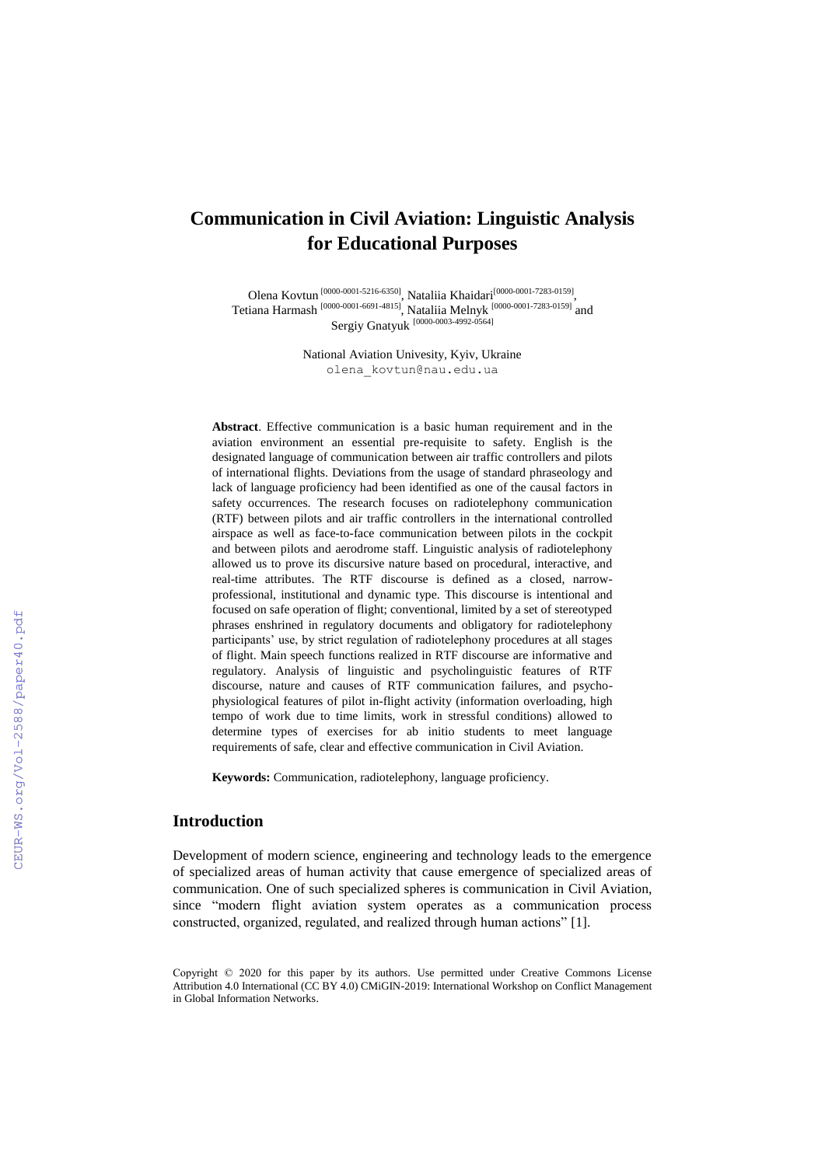# **Communication in Civil Aviation: Linguistic Analysis for Educational Purposes**

Olena Kovtun<sup> [0000-0001-5216-6350]</sup>, Nataliia Khaidari<sup>[\[0000-0001-7283-0159\]](https://orcid.org/0000-0001-7283-0159)</sup>, Tetiana Harmash [0000-0001-6691-4815] , Nataliia Melnyk [0000-0001-7283-0159] and Sergiy Gnatyuk<sup> [0000-0003-4992-0564]</sup>

> National Aviation Univesity, Kyiv, Ukraine olena\_kovtun@nau.edu.ua

**Abstract**. Effective communication is a basic human requirement and in the aviation environment an essential pre-requisite to safety. English is the designated language of communication between air traffic controllers and pilots of international flights. Deviations from the usage of standard phraseology and lack of language proficiency had been identified as one of the causal factors in safety occurrences. The research focuses on radiotelephony communication (RTF) between pilots and air traffic controllers in the international controlled airspace as well as face-to-face communication between pilots in the cockpit and between pilots and aerodrome staff. Linguistic analysis of radiotelephony allowed us to prove its discursive nature based on procedural, interactive, and real-time attributes. The RTF discourse is defined as a closed, narrowprofessional, institutional and dynamic type. This discourse is intentional and focused on safe operation of flight; conventional, limited by a set of stereotyped phrases enshrined in regulatory documents and obligatory for radiotelephony participants' use, by strict regulation of radiotelephony procedures at all stages of flight. Main speech functions realized in RTF discourse are informative and regulatory. Analysis of linguistic and psycholinguistic features of RTF discourse, nature and causes of RTF communication failures, and psychophysiological features of pilot in-flight activity (information overloading, high tempo of work due to time limits, work in stressful conditions) allowed to determine types of exercises for ab initio students to meet language requirements of safe, clear and effective communication in Civil Aviation.

**Keywords:** Communication, radiotelephony, language proficiency.

# **Introduction**

Development of modern science, engineering and technology leads to the emergence of specialized areas of human activity that cause emergence of specialized areas of communication. One of such specialized spheres is communication in Civil Aviation, since "modern flight aviation system operates as a communication process constructed, organized, regulated, and realized through human actions" [1].

Copyright © 2020 for this paper by its authors. Use permitted under Creative Commons License Attribution 4.0 International (CC BY 4.0) CMiGIN-2019: International Workshop on Conflict Management in Global Information Networks.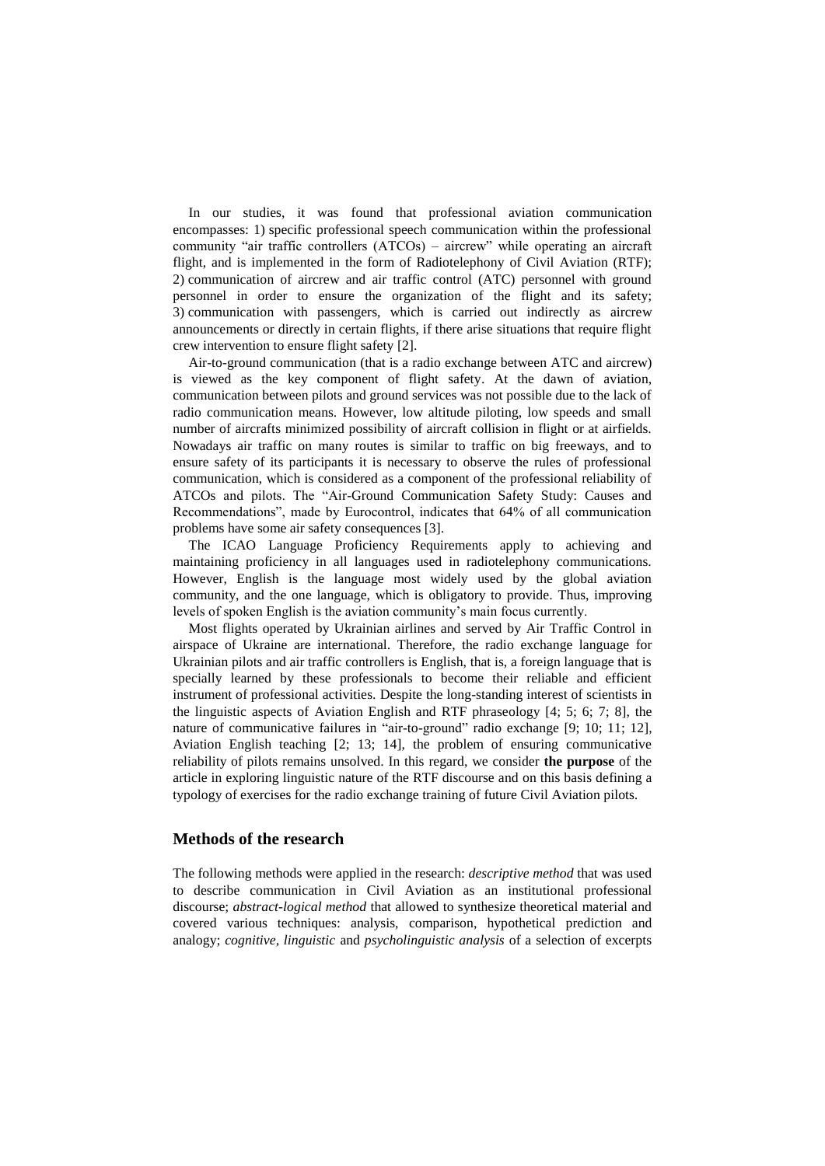In our studies, it was found that professional aviation communication encompasses: 1) specific professional speech communication within the professional community "air traffic controllers (ATCOs) – aircrew" while operating an aircraft flight, and is implemented in the form of Radiotelephony of Civil Aviation (RTF); 2) communication of aircrew and air traffic control (ATC) personnel with ground personnel in order to ensure the organization of the flight and its safety; 3) communication with passengers, which is carried out indirectly as aircrew announcements or directly in certain flights, if there arise situations that require flight crew intervention to ensure flight safety [2].

Air-to-ground communication (that is a radio exchange between ATC and aircrew) is viewed as the key component of flight safety. At the dawn of aviation, communication between pilots and ground services was not possible due to the lack of radio communication means. However, low altitude piloting, low speeds and small number of aircrafts minimized possibility of aircraft collision in flight or at airfields. Nowadays air traffic on many routes is similar to traffic on big freeways, and to ensure safety of its participants it is necessary to observe the rules of professional communication, which is considered as a component of the professional reliability of ATCOs and pilots. The "Air-Ground Communication Safety Study: Causes and Recommendations", made by Eurocontrol, indicates that 64% of all communication problems have some air safety consequences [3].

The ICAO Language Proficiency Requirements apply to achieving and maintaining proficiency in all languages used in radiotelephony communications. However, English is the language most widely used by the global aviation community, and the one language, which is obligatory to provide. Thus, improving levels of spoken English is the aviation community's main focus currently.

Most flights operated by Ukrainian airlines and served by Air Traffic Control in airspace of Ukraine are international. Therefore, the radio exchange language for Ukrainian pilots and air traffic controllers is English, that is, a foreign language that is specially learned by these professionals to become their reliable and efficient instrument of professional activities. Despite the long-standing interest of scientists in the linguistic aspects of Aviation English and RTF phraseology [4; 5; 6; 7; 8], the nature of communicative failures in "air-to-ground" radio exchange [9; 10; 11; 12], Aviation English teaching [2; 13; 14], the problem of ensuring communicative reliability of pilots remains unsolved. In this regard, we consider **the purpose** of the article in exploring linguistic nature of the RTF discourse and on this basis defining a typology of exercises for the radio exchange training of future Civil Aviation pilots.

# **Methods of the research**

The following methods were applied in the research: *descriptive method* that was used to describe communication in Civil Aviation as an institutional professional discourse; *abstract-logical method* that allowed to synthesize theoretical material and covered various techniques: analysis, comparison, hypothetical prediction and analogy; *cognitive, linguistic* and *psycholinguistic analysis* of a selection of excerpts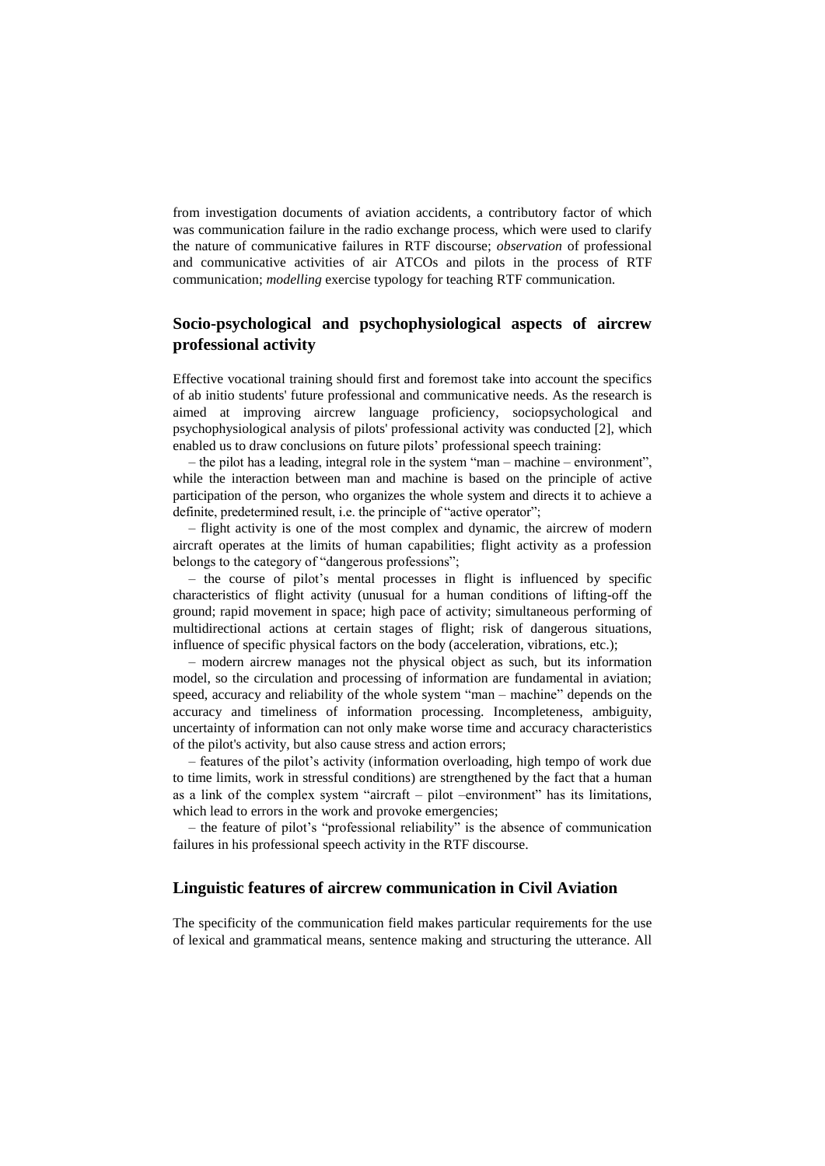from investigation documents of aviation accidents, a contributory factor of which was communication failure in the radio exchange process, which were used to clarify the nature of communicative failures in RTF discourse; *observation* of professional and communicative activities of air ATCOs and pilots in the process of RTF communication; *modelling* exercise typology for teaching RTF communication.

# **Socio-psychological and psychophysiological aspects of aircrew professional activity**

Effective vocational training should first and foremost take into account the specifics of ab initio students' future professional and communicative needs. As the research is aimed at improving aircrew language proficiency, sociopsychological and psychophysiological analysis of pilots' professional activity was conducted [2], which enabled us to draw conclusions on future pilots' professional speech training:

– the pilot has a leading, integral role in the system "man – machine – environment", while the interaction between man and machine is based on the principle of active participation of the person, who organizes the whole system and directs it to achieve a definite, predetermined result, i.e. the principle of "active operator";

– flight activity is one of the most complex and dynamic, the aircrew of modern aircraft operates at the limits of human capabilities; flight activity as a profession belongs to the category of "dangerous professions";

– the course of pilot's mental processes in flight is influenced by specific characteristics of flight activity (unusual for a human conditions of lifting-off the ground; rapid movement in space; high pace of activity; simultaneous performing of multidirectional actions at certain stages of flight; risk of dangerous situations, influence of specific physical factors on the body (acceleration, vibrations, etc.);

– modern aircrew manages not the physical object as such, but its information model, so the circulation and processing of information are fundamental in aviation; speed, accuracy and reliability of the whole system "man – machine" depends on the accuracy and timeliness of information processing. Incompleteness, ambiguity, uncertainty of information can not only make worse time and accuracy characteristics of the pilot's activity, but also cause stress and action errors;

– features of the pilot's activity (information overloading, high tempo of work due to time limits, work in stressful conditions) are strengthened by the fact that a human as a link of the complex system "aircraft – pilot –environment" has its limitations, which lead to errors in the work and provoke emergencies;

– the feature of pilot's "professional reliability" is the absence of communication failures in his professional speech activity in the RTF discourse.

# **Linguistic features of aircrew communication in Civil Aviation**

The specificity of the communication field makes particular requirements for the use of lexical and grammatical means, sentence making and structuring the utterance. All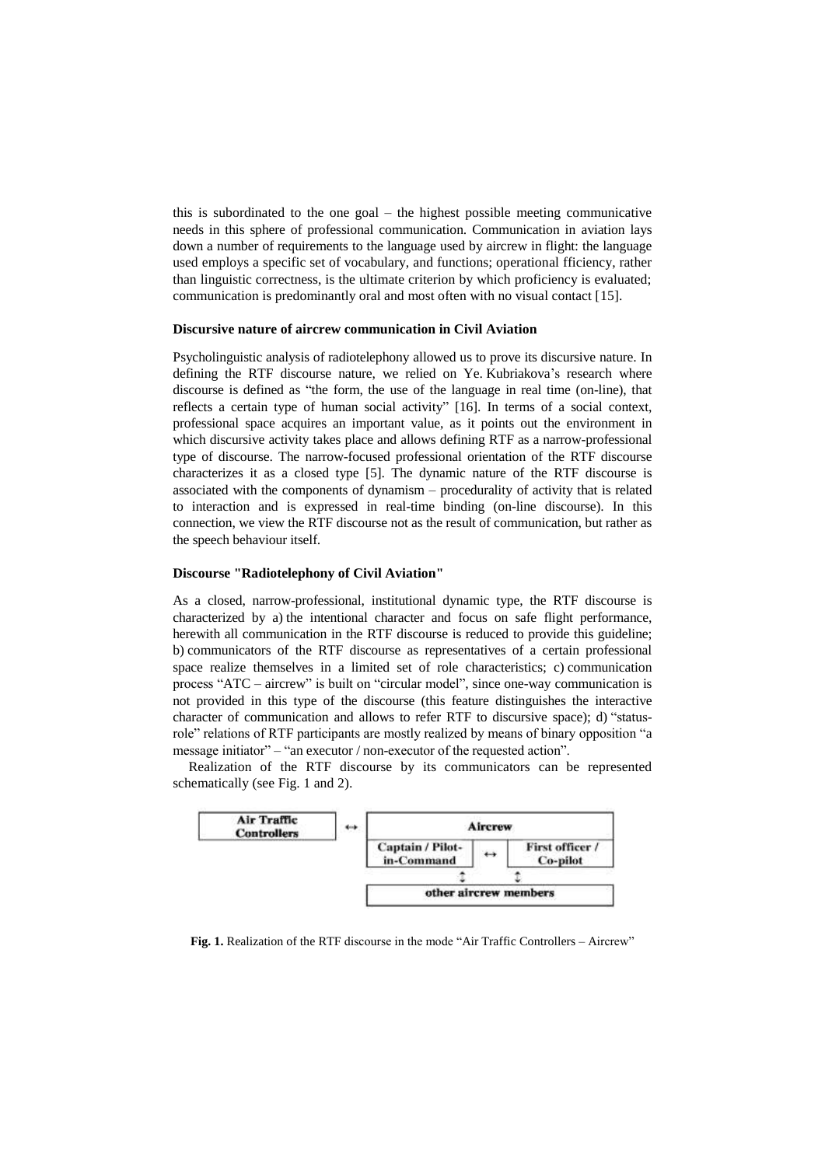this is subordinated to the one goal – the highest possible meeting communicative needs in this sphere of professional communication. Communication in aviation lays down a number of requirements to the language used by aircrew in flight: the language used employs a specific set of vocabulary, and functions; operational fficiency, rather than linguistic correctness, is the ultimate criterion by which proficiency is evaluated; communication is predominantly oral and most often with no visual contact [15].

#### **Discursive nature of aircrew communication in Civil Aviation**

Psycholinguistic analysis of radiotelephony allowed us to prove its discursive nature. In defining the RTF discourse nature, we relied on Ye. Kubriakova's research where discourse is defined as "the form, the use of the language in real time (on-line), that reflects a certain type of human social activity" [16]. In terms of a social context, professional space acquires an important value, as it points out the environment in which discursive activity takes place and allows defining RTF as a narrow-professional type of discourse. The narrow-focused professional orientation of the RTF discourse characterizes it as a closed type [5]. The dynamic nature of the RTF discourse is associated with the components of dynamism – procedurality of activity that is related to interaction and is expressed in real-time binding (on-line discourse). In this connection, we view the RTF discourse not as the result of communication, but rather as the speech behaviour itself.

#### **Discourse "Radiotelephony of Civil Aviation"**

As a closed, narrow-professional, institutional dynamic type, the RTF discourse is characterized by a) the intentional character and focus on safe flight performance, herewith all communication in the RTF discourse is reduced to provide this guideline; b) communicators of the RTF discourse as representatives of a certain professional space realize themselves in a limited set of role characteristics; c) communication process "ATC – aircrew" is built on "circular model", since one-way communication is not provided in this type of the discourse (this feature distinguishes the interactive character of communication and allows to refer RTF to discursive space); d) "statusrole" relations of RTF participants are mostly realized by means of binary opposition "a message initiator" – "an executor / non-executor of the requested action".

Realization of the RTF discourse by its communicators can be represented schematically (see Fig. 1 and 2).



**Fig. 1.** Realization of the RTF discourse in the mode "Air Traffic Controllers – Aircrew"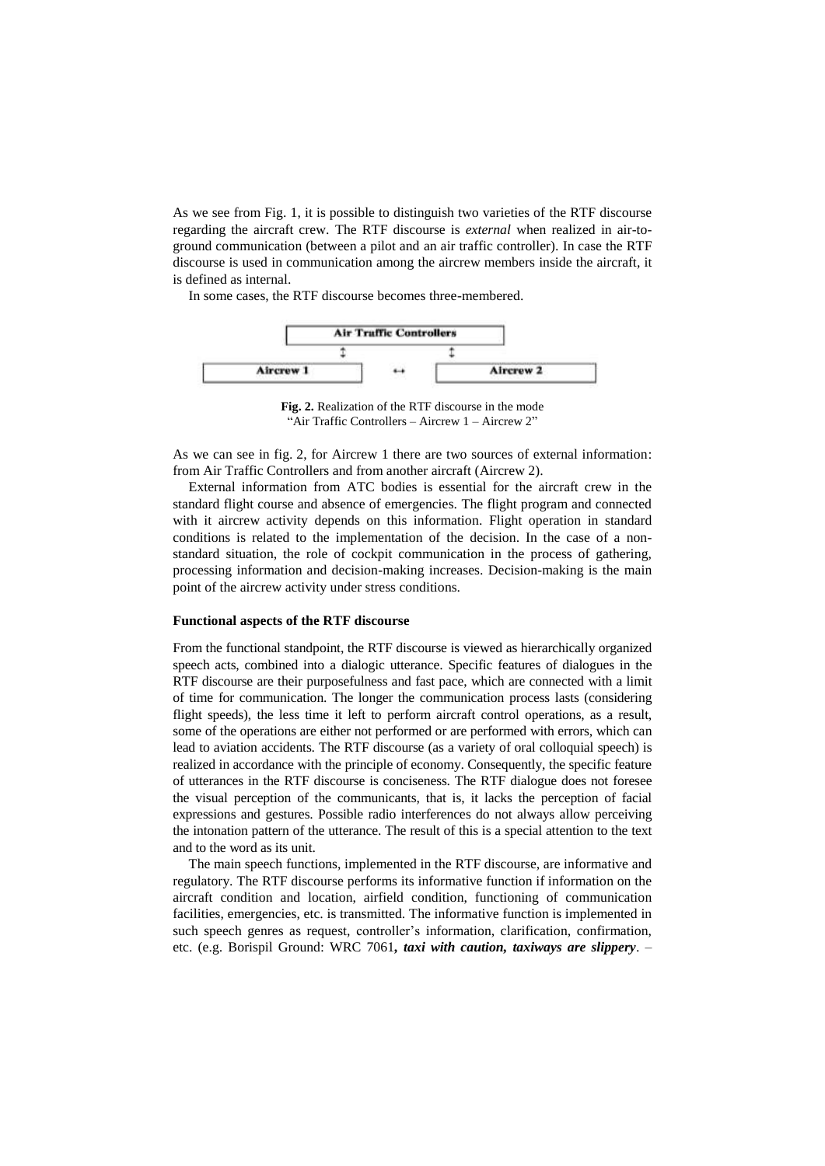As we see from Fig. 1, it is possible to distinguish two varieties of the RTF discourse regarding the aircraft crew. The RTF discourse is *external* when realized in air-toground communication (between a pilot and an air traffic controller). In case the RTF discourse is used in communication among the aircrew members inside the aircraft, it is defined as internal.

In some cases, the RTF discourse becomes three-membered.



**Fig. 2.** Realization of the RTF discourse in the mode "Air Traffic Controllers – Aircrew 1 – Aircrew 2"

As we can see in fig. 2, for Aircrew 1 there are two sources of external information: from Air Traffic Controllers and from another aircraft (Aircrew 2).

External information from ATC bodies is essential for the aircraft crew in the standard flight course and absence of emergencies. The flight program and connected with it aircrew activity depends on this information. Flight operation in standard conditions is related to the implementation of the decision. In the case of a nonstandard situation, the role of cockpit communication in the process of gathering, processing information and decision-making increases. Decision-making is the main point of the aircrew activity under stress conditions.

#### **Functional aspects of the RTF discourse**

From the functional standpoint, the RTF discourse is viewed as hierarchically organized speech acts, combined into a dialogic utterance. Specific features of dialogues in the RTF discourse are their purposefulness and fast pace, which are connected with a limit of time for communication. The longer the communication process lasts (considering flight speeds), the less time it left to perform aircraft control operations, as a result, some of the operations are either not performed or are performed with errors, which can lead to aviation accidents. The RTF discourse (as a variety of oral colloquial speech) is realized in accordance with the principle of economy. Consequently, the specific feature of utterances in the RTF discourse is conciseness. The RTF dialogue does not foresee the visual perception of the communicants, that is, it lacks the perception of facial expressions and gestures. Possible radio interferences do not always allow perceiving the intonation pattern of the utterance. The result of this is a special attention to the text and to the word as its unit.

The main speech functions, implemented in the RTF discourse, are informative and regulatory. The RTF discourse performs its informative function if information on the aircraft condition and location, airfield condition, functioning of communication facilities, emergencies, etc. is transmitted. The informative function is implemented in such speech genres as request, controller's information, clarification, confirmation, etc. (e.g. Borispil Ground: WRC 7061*, taxi with caution, taxiways are slippery*. –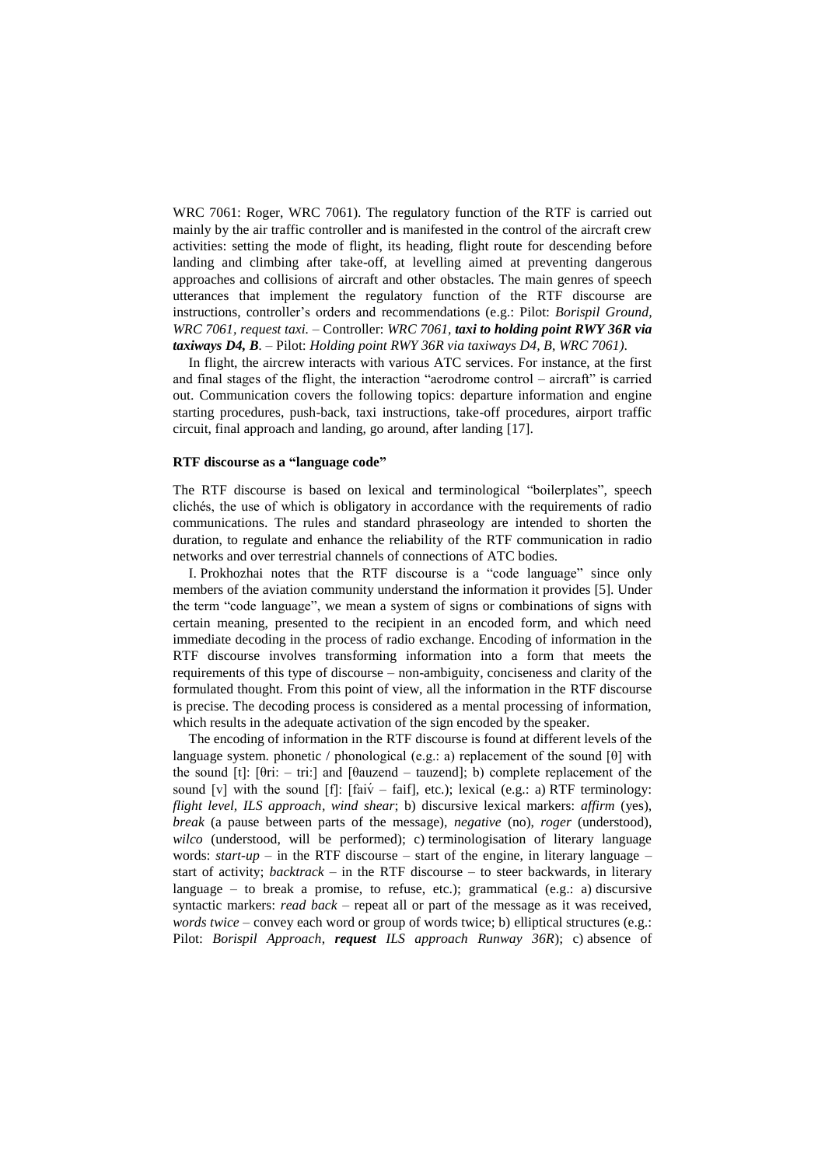WRC 7061: Roger, WRC 7061). The regulatory function of the RTF is carried out mainly by the air traffic controller and is manifested in the control of the aircraft crew activities: setting the mode of flight, its heading, flight route for descending before landing and climbing after take-off, at levelling aimed at preventing dangerous approaches and collisions of aircraft and other obstacles. The main genres of speech utterances that implement the regulatory function of the RTF discourse are instructions, controller's orders and recommendations (e.g.: Pilot: *Borispil Ground, WRC 7061, request taxi. –* Controller: *WRC 7061, taxi to holding point RWY 36R via taxiways D4, B.* – Pilot: *Holding point RWY 36R via taxiways D4, B*, *WRC 7061)*.

In flight, the aircrew interacts with various ATC services. For instance, at the first and final stages of the flight, the interaction "aerodrome control – aircraft" is carried out. Communication covers the following topics: departure information and engine starting procedures, push-back, taxi instructions, take-off procedures, airport traffic circuit, final approach and landing, go around, after landing [17].

# **RTF discourse as a "language code"**

The RTF discourse is based on lexical and terminological "boilerplates", speech clichés, the use of which is obligatory in accordance with the requirements of radio communications. The rules and standard phraseology are intended to shorten the duration, to regulate and enhance the reliability of the RTF communication in radio networks and over terrestrial channels of connections of ATC bodies.

I. Prokhozhai notes that the RTF discourse is a "code language" since only members of the aviation community understand the information it provides [5]. Under the term "code language", we mean a system of signs or combinations of signs with certain meaning, presented to the recipient in an encoded form, and which need immediate decoding in the process of radio exchange. Encoding of information in the RTF discourse involves transforming information into a form that meets the requirements of this type of discourse – non-ambiguity, conciseness and clarity of the formulated thought. From this point of view, all the information in the RTF discourse is precise. The decoding process is considered as a mental processing of information, which results in the adequate activation of the sign encoded by the speaker.

The encoding of information in the RTF discourse is found at different levels of the language system. phonetic / phonological (e.g.: a) replacement of the sound  $[\theta]$  with the sound [t]: [θri: – tri:] and [θauzend – tauzend]; b) complete replacement of the sound [v] with the sound  $[f]$ :  $[fai\dot{v} - fai\dot{v}]$ , etc.); lexical (e.g.: a) RTF terminology: *flight level, ILS approach, wind shear*; b) discursive lexical markers: *affirm* (yes), *break* (a pause between parts of the message), *negative* (no), *roger* (understood), *wilco* (understood, will be performed); c) terminologisation of literary language words:  $start-up$  – in the RTF discourse – start of the engine, in literary language – start of activity; *backtrack* – in the RTF discourse – to steer backwards, in literary language – to break a promise, to refuse, etc.); grammatical (e.g.: a) discursive syntactic markers: *read back –* repeat all or part of the message as it was received, *words twice* – convey each word or group of words twice; b) elliptical structures (e.g.: Pilot: *Borispil Approach*, *request ILS approach Runway 36R*); c) absence of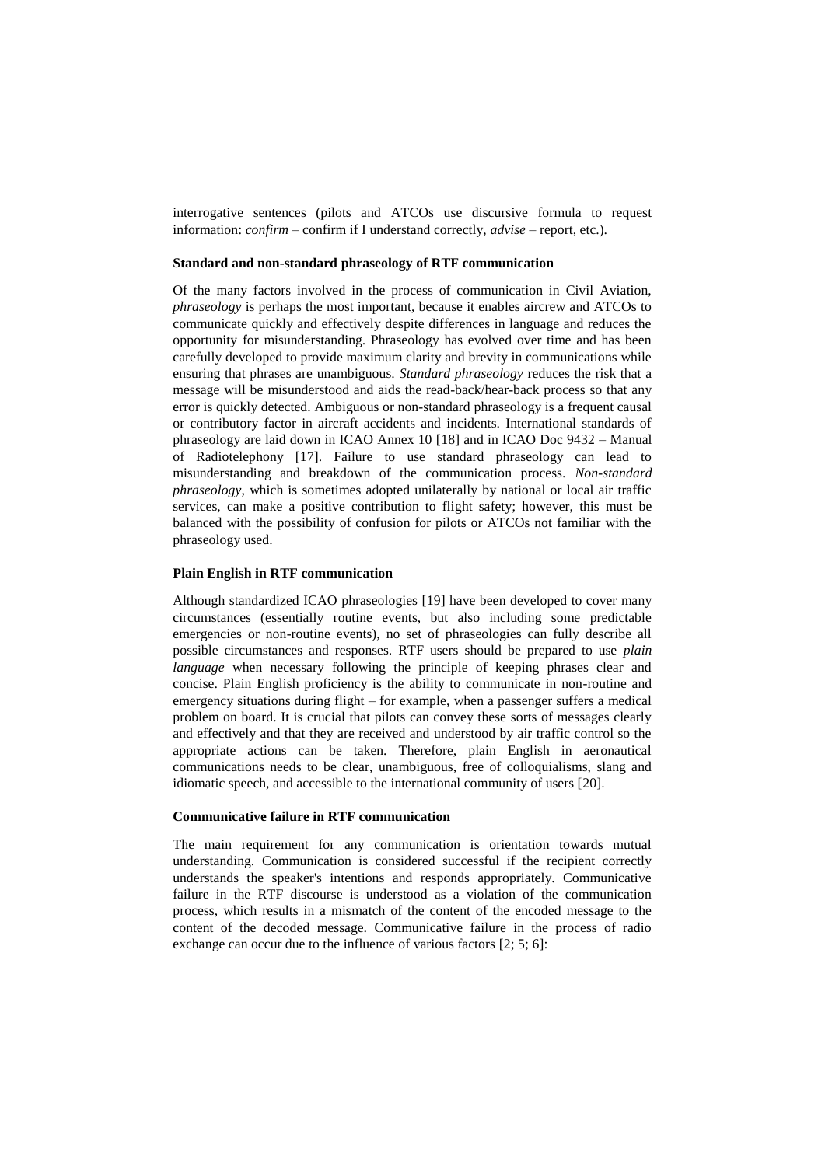interrogative sentences (pilots and ATCOs use discursive formula to request information: *confirm –* confirm if I understand correctly, *advise –* report, etc.).

#### **Standard and non-standard phraseology of RTF communication**

Of the many factors involved in the process of communication in Civil Aviation, *phraseology* is perhaps the most important, because it enables aircrew and ATCOs to communicate quickly and effectively despite differences in language and reduces the opportunity for misunderstanding. Phraseology has evolved over time and has been carefully developed to provide maximum clarity and brevity in communications while ensuring that phrases are unambiguous. *Standard phraseology* reduces the risk that a message will be misunderstood and aids the read-back/hear-back process so that any error is quickly detected. Ambiguous or non-standard phraseology is a frequent causal or contributory factor in aircraft accidents and incidents. International standards of phraseology are laid down in ICAO Annex 10 [18] and in ICAO Doc 9432 – Manual of Radiotelephony [17]. Failure to use standard phraseology can lead to misunderstanding and breakdown of the communication process. *Non-standard phraseology*, which is sometimes adopted unilaterally by national or local air traffic services, can make a positive contribution to flight safety; however, this must be balanced with the possibility of confusion for pilots or ATCOs not familiar with the phraseology used.

### **Plain English in RTF communication**

Although standardized ICAO phraseologies [19] have been developed to cover many circumstances (essentially routine events, but also including some predictable emergencies or non-routine events), no set of phraseologies can fully describe all possible circumstances and responses. RTF users should be prepared to use *plain language* when necessary following the principle of keeping phrases clear and concise. Plain English proficiency is the ability to communicate in non-routine and emergency situations during flight – for example, when a passenger suffers a medical problem on board. It is crucial that pilots can convey these sorts of messages clearly and effectively and that they are received and understood by air traffic control so the appropriate actions can be taken. Therefore, plain English in aeronautical communications needs to be clear, unambiguous, free of colloquialisms, slang and idiomatic speech, and accessible to the international community of users [20].

#### **Communicative failure in RTF communication**

The main requirement for any communication is orientation towards mutual understanding. Communication is considered successful if the recipient correctly understands the speaker's intentions and responds appropriately. Communicative failure in the RTF discourse is understood as a violation of the communication process, which results in a mismatch of the content of the encoded message to the content of the decoded message. Communicative failure in the process of radio exchange can occur due to the influence of various factors [2; 5; 6]: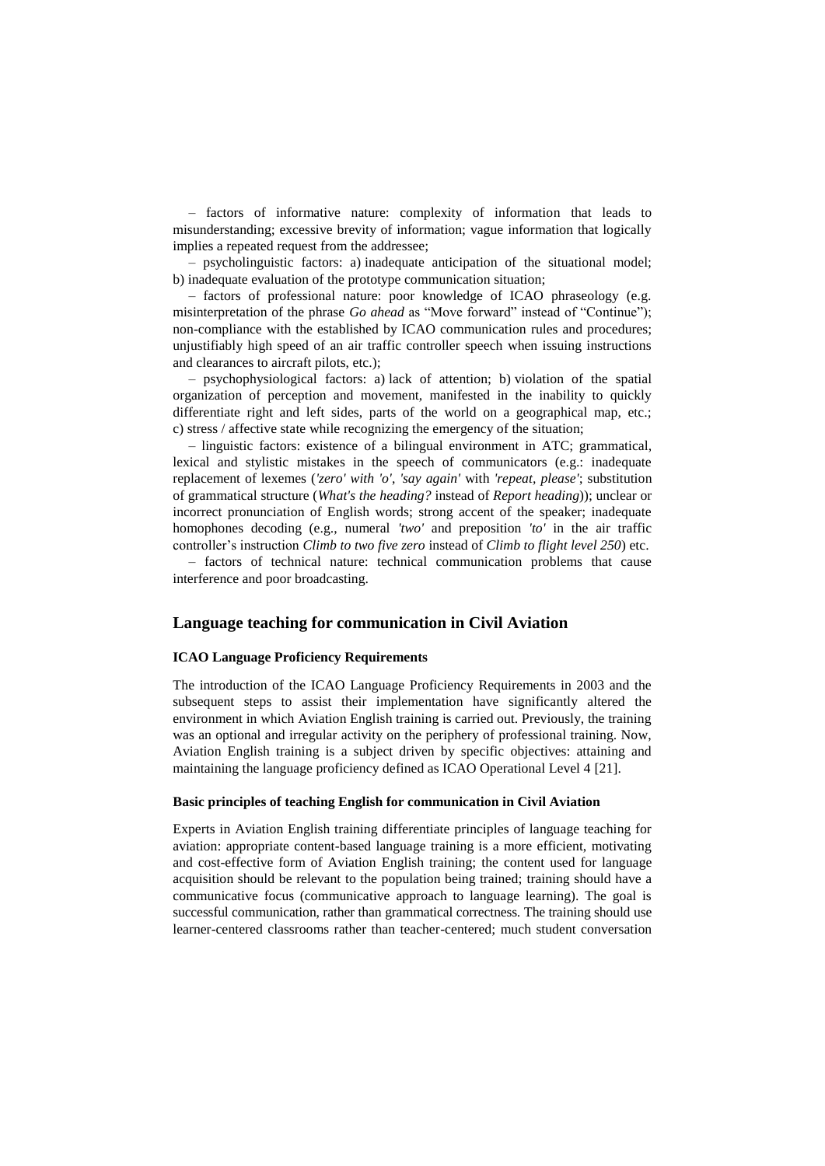– factors of informative nature: complexity of information that leads to misunderstanding; excessive brevity of information; vague information that logically implies a repeated request from the addressee;

– psycholinguistic factors: a) inadequate anticipation of the situational model; b) inadequate evaluation of the prototype communication situation;

– factors of professional nature: poor knowledge of ICAO phraseology (e.g. misinterpretation of the phrase *Go ahead* as "Move forward" instead of "Continue"); non-compliance with the established by ICAO communication rules and procedures; unjustifiably high speed of an air traffic controller speech when issuing instructions and clearances to aircraft pilots, etc.);

– psychophysiological factors: a) lack of attention; b) violation of the spatial organization of perception and movement, manifested in the inability to quickly differentiate right and left sides, parts of the world on a geographical map, etc.; c) stress / affective state while recognizing the emergency of the situation;

– linguistic factors: existence of a bilingual environment in ATC; grammatical, lexical and stylistic mistakes in the speech of communicators (e.g.: inadequate replacement of lexemes (*'zero' with 'o'*, *'say again'* with *'repeat, please'*; substitution of grammatical structure (*What's the heading?* instead of *Report heading*)); unclear or incorrect pronunciation of English words; strong accent of the speaker; inadequate homophones decoding (e.g., numeral *'two'* and preposition *'to'* in the air traffic controller's instruction *Climb to two five zero* instead of *Climb to flight level 250*) etc.

– factors of technical nature: technical communication problems that cause interference and poor broadcasting.

# **Language teaching for communication in Civil Aviation**

# **ICAO Language Proficiency Requirements**

The introduction of the ICAO Language Proficiency Requirements in 2003 and the subsequent steps to assist their implementation have significantly altered the environment in which Aviation English training is carried out. Previously, the training was an optional and irregular activity on the periphery of professional training. Now, Aviation English training is a subject driven by specific objectives: attaining and maintaining the language proficiency defined as ICAO Operational Level 4 [21].

#### **Basic principles of teaching English for communication in Civil Aviation**

Experts in Aviation English training differentiate principles of language teaching for aviation: appropriate content-based language training is a more efficient, motivating and cost-effective form of Aviation English training; the content used for language acquisition should be relevant to the population being trained; training should have a communicative focus (communicative approach to language learning). The goal is successful communication, rather than grammatical correctness. The training should use learner-centered classrooms rather than teacher-centered; much student conversation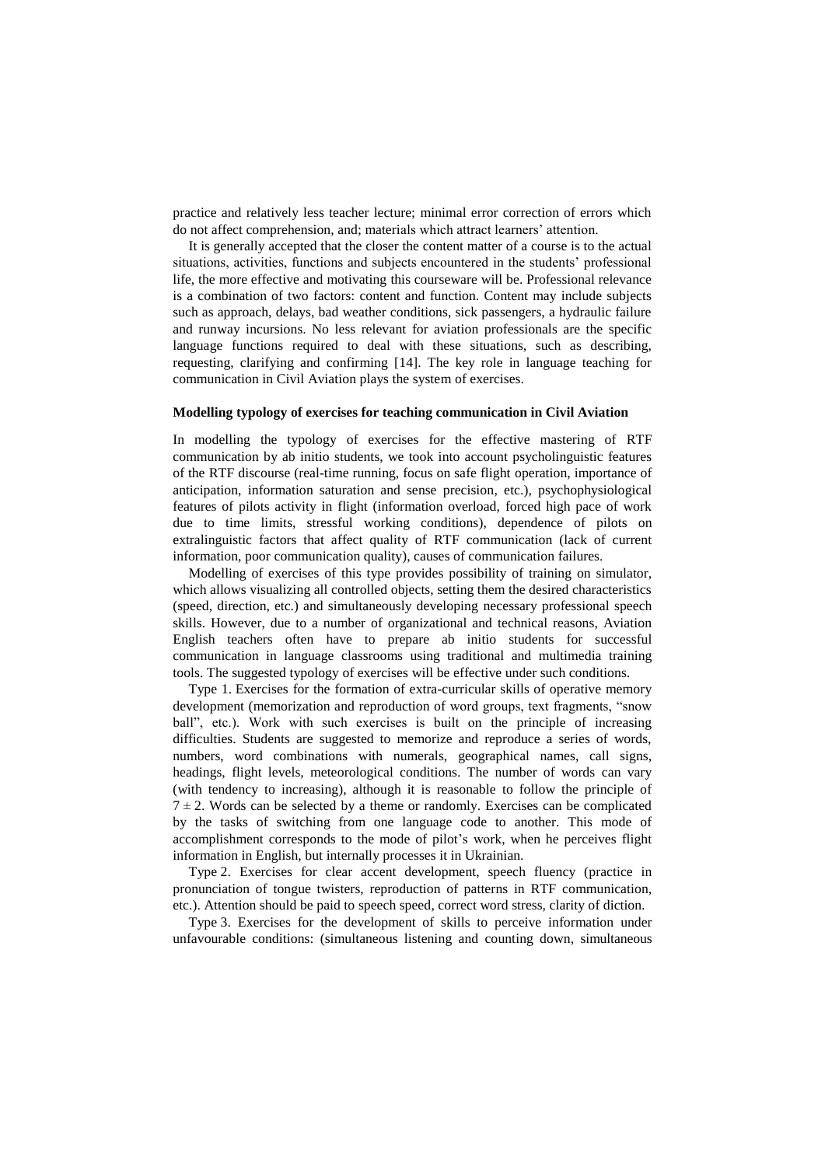practice and relatively less teacher lecture; minimal error correction of errors which do not affect comprehension, and; materials which attract learners' attention.

It is generally accepted that the closer the content matter of a course is to the actual situations, activities, functions and subjects encountered in the students' professional life, the more effective and motivating this courseware will be. Professional relevance is a combination of two factors: content and function. Content may include subjects such as approach, delays, bad weather conditions, sick passengers, a hydraulic failure and runway incursions. No less relevant for aviation professionals are the specific language functions required to deal with these situations, such as describing, requesting, clarifying and confirming [14]. The key role in language teaching for communication in Civil Aviation plays the system of exercises.

#### **Modelling typology of exercises for teaching communication in Civil Aviation**

In modelling the typology of exercises for the effective mastering of RTF communication by ab initio students, we took into account psycholinguistic features of the RTF discourse (real-time running, focus on safe flight operation, importance of anticipation, information saturation and sense precision, etc.), psychophysiological features of pilots activity in flight (information overload, forced high pace of work due to time limits, stressful working conditions), dependence of pilots on extralinguistic factors that affect quality of RTF communication (lack of current information, poor communication quality), causes of communication failures.

Modelling of exercises of this type provides possibility of training on simulator, which allows visualizing all controlled objects, setting them the desired characteristics (speed, direction, etc.) and simultaneously developing necessary professional speech skills. However, due to a number of organizational and technical reasons, Aviation English teachers often have to prepare ab initio students for successful communication in language classrooms using traditional and multimedia training tools. The suggested typology of exercises will be effective under such conditions.

Type 1. Exercises for the formation of extra-curricular skills of operative memory development (memorization and reproduction of word groups, text fragments, "snow ball", etc.). Work with such exercises is built on the principle of increasing difficulties. Students are suggested to memorize and reproduce a series of words, numbers, word combinations with numerals, geographical names, call signs, headings, flight levels, meteorological conditions. The number of words can vary (with tendency to increasing), although it is reasonable to follow the principle of  $7 \pm 2$ . Words can be selected by a theme or randomly. Exercises can be complicated by the tasks of switching from one language code to another. This mode of accomplishment corresponds to the mode of pilot's work, when he perceives flight information in English, but internally processes it in Ukrainian.

Type 2. Exercises for clear accent development, speech fluency (practice in pronunciation of tongue twisters, reproduction of patterns in RTF communication, etc.). Attention should be paid to speech speed, correct word stress, clarity of diction.

Type 3. Exercises for the development of skills to perceive information under unfavourable conditions: (simultaneous listening and counting down, simultaneous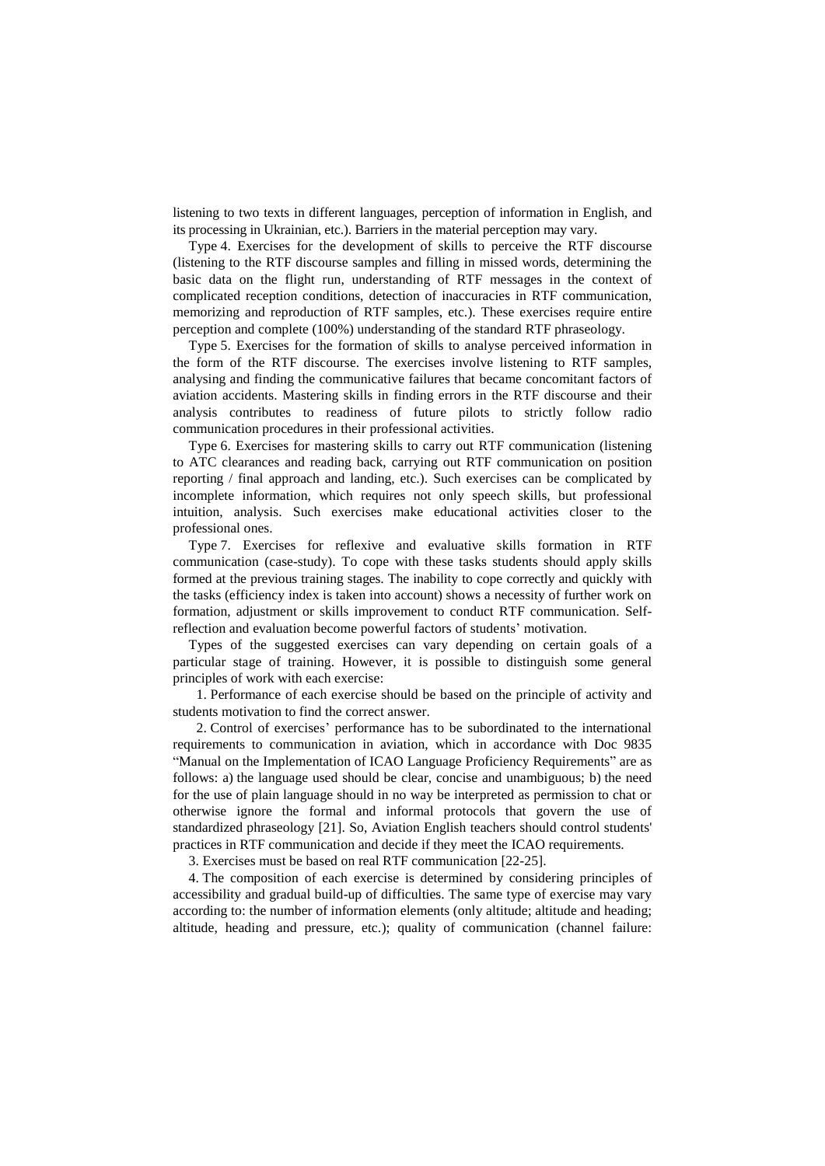listening to two texts in different languages, perception of information in English, and its processing in Ukrainian, etc.). Barriers in the material perception may vary.

Type 4. Exercises for the development of skills to perceive the RTF discourse (listening to the RTF discourse samples and filling in missed words, determining the basic data on the flight run, understanding of RTF messages in the context of complicated reception conditions, detection of inaccuracies in RTF communication, memorizing and reproduction of RTF samples, etc.). These exercises require entire perception and complete (100%) understanding of the standard RTF phraseology.

Type 5. Exercises for the formation of skills to analyse perceived information in the form of the RTF discourse. The exercises involve listening to RTF samples, analysing and finding the communicative failures that became concomitant factors of aviation accidents. Mastering skills in finding errors in the RTF discourse and their analysis contributes to readiness of future pilots to strictly follow radio communication procedures in their professional activities.

Type 6. Exercises for mastering skills to carry out RTF communication (listening to ATC clearances and reading back, carrying out RTF communication on position reporting / final approach and landing, etc.). Such exercises can be complicated by incomplete information, which requires not only speech skills, but professional intuition, analysis. Such exercises make educational activities closer to the professional ones.

Type 7. Exercises for reflexive and evaluative skills formation in RTF communication (case-study). To cope with these tasks students should apply skills formed at the previous training stages. The inability to cope correctly and quickly with the tasks (efficiency index is taken into account) shows a necessity of further work on formation, adjustment or skills improvement to conduct RTF communication. Selfreflection and evaluation become powerful factors of students' motivation.

Types of the suggested exercises can vary depending on certain goals of a particular stage of training. However, it is possible to distinguish some general principles of work with each exercise:

1. Performance of each exercise should be based on the principle of activity and students motivation to find the correct answer.

2. Control of exercises' performance has to be subordinated to the international requirements to communication in aviation, which in accordance with Doc 9835 "Manual on the Implementation of ICAO Language Proficiency Requirements" are as follows: a) the language used should be clear, concise and unambiguous; b) the need for the use of plain language should in no way be interpreted as permission to chat or otherwise ignore the formal and informal protocols that govern the use of standardized phraseology [21]. So, Aviation English teachers should control students' practices in RTF communication and decide if they meet the ICAO requirements.

3. Exercises must be based on real RTF communication [22-25].

4. The composition of each exercise is determined by considering principles of accessibility and gradual build-up of difficulties. The same type of exercise may vary according to: the number of information elements (only altitude; altitude and heading; altitude, heading and pressure, etc.); quality of communication (channel failure: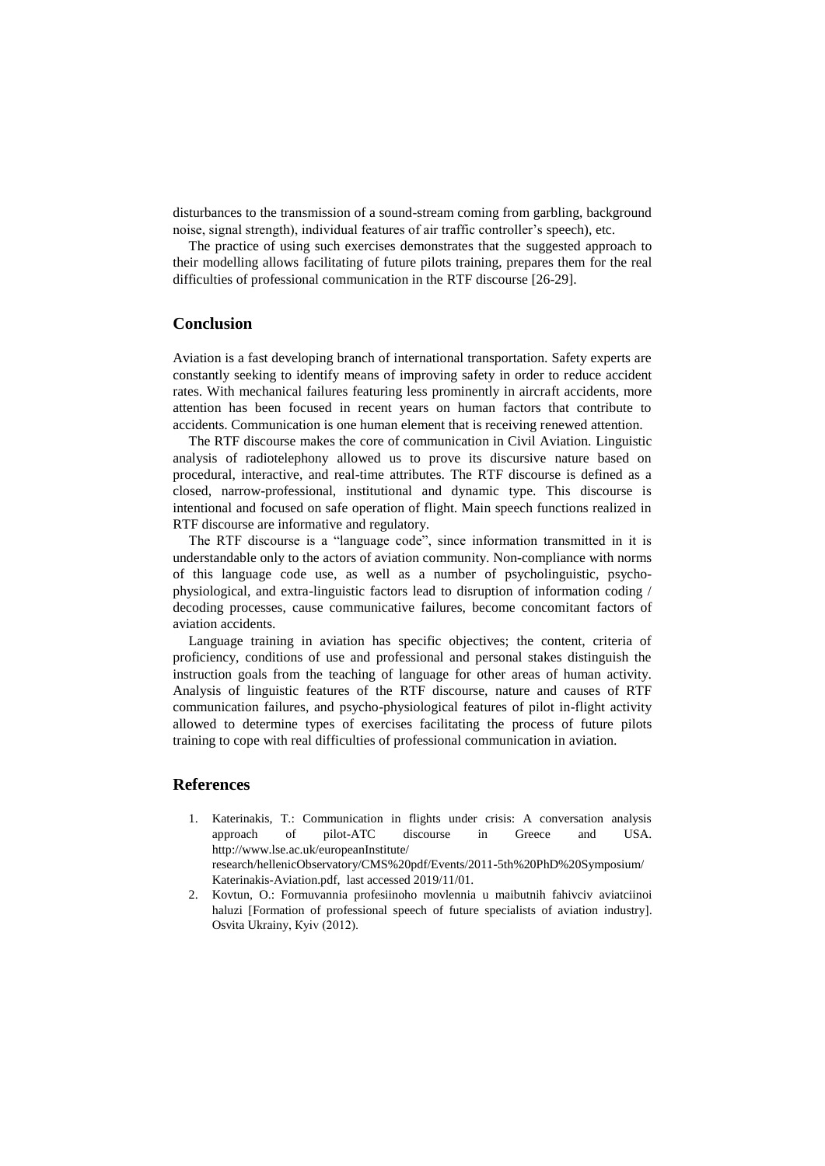disturbances to the transmission of a sound-stream coming from garbling, background noise, signal strength), individual features of air traffic controller's speech), etc.

The practice of using such exercises demonstrates that the suggested approach to their modelling allows facilitating of future pilots training, prepares them for the real difficulties of professional communication in the RTF discourse [26-29].

# **Conclusion**

Aviation is a fast developing branch of international transportation. Safety experts are constantly seeking to identify means of improving safety in order to reduce accident rates. With mechanical failures featuring less prominently in aircraft accidents, more attention has been focused in recent years on human factors that contribute to accidents. Communication is one human element that is receiving renewed attention.

The RTF discourse makes the core of communication in Civil Aviation. Linguistic analysis of radiotelephony allowed us to prove its discursive nature based on procedural, interactive, and real-time attributes. The RTF discourse is defined as a closed, narrow-professional, institutional and dynamic type. This discourse is intentional and focused on safe operation of flight. Main speech functions realized in RTF discourse are informative and regulatory.

The RTF discourse is a "language code", since information transmitted in it is understandable only to the actors of aviation community. Non-compliance with norms of this language code use, as well as a number of psycholinguistic, psychophysiological, and extra-linguistic factors lead to disruption of information coding / decoding processes, cause communicative failures, become concomitant factors of aviation accidents.

Language training in aviation has specific objectives; the content, criteria of proficiency, conditions of use and professional and personal stakes distinguish the instruction goals from the teaching of language for other areas of human activity. Analysis of linguistic features of the RTF discourse, nature and causes of RTF communication failures, and psycho-physiological features of pilot in-flight activity allowed to determine types of exercises facilitating the process of future pilots training to cope with real difficulties of professional communication in aviation.

# **References**

- 1. Katerinakis, T.: Communication in flights under crisis: A conversation analysis approach of pilot-ATC discourse in Greece and USA. <http://www.lse.ac.uk/europeanInstitute/> research/hellenicObservatory/CMS%20pdf/Events/2011-5th%20PhD%20Symposium/ Katerinakis-Aviation.pdf, last accessed 2019/11/01.
- 2. Kovtun, O.: Formuvannia profesiinoho movlennia u maibutnih fahivciv aviatciinoi haluzi [Formation of professional speech of future specialists of aviation industry]. Osvita Ukrainy, Кyiv (2012).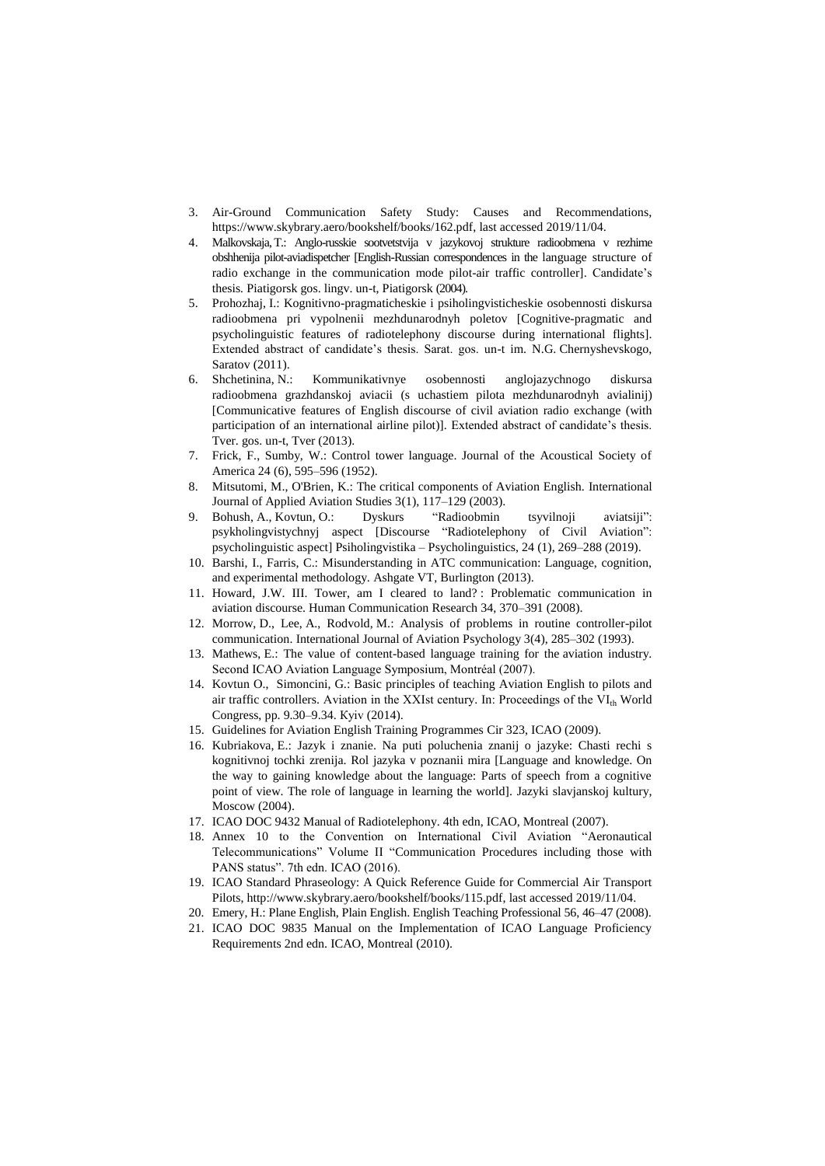- 3. Air-Ground Communication Safety Study: Causes and Recommendations, [https://www.skybrary.aero/bookshelf/books/162.pdf,](https://www.skybrary.aero/bookshelf/books/162.pdf) last accessed 2019/11/04.
- 4. Malkovskaja,T.: Anglo-russkie sootvetstvija v jazykovoj strukture radioobmena v rezhime obshhenija pilot-aviadispetcher [English-Russian correspondences in the language structure of radio exchange in the communication mode pilot-air traffic controller]. Candidate's thesis*.* Piatigorsk gos. lingv. un-t, Piatigorsk (2004).
- 5. Prohozhaj, I.: Kognitivno-pragmaticheskie i psiholingvisticheskie osobennosti diskursa radioobmena pri vypolnenii mezhdunarodnyh poletov [Cognitive-pragmatic and psycholinguistic features of radiotelephony discourse during international flights]. Extended abstract of candidate's thesis. Sarat. gos. un-t im. N.G. Chernyshevskogo, Saratov (2011).
- 6. Shchetinina, N.: Kommunikativnye osobennosti anglojazychnogo diskursa radioobmena grazhdanskoj aviacii (s uchastiem pilota mezhdunarodnyh avialinij) [Communicative features of English discourse of civil aviation radio exchange (with participation of an international airline pilot)]. Extended abstract of candidate's thesis. Tver. gos. un-t, Tver (2013).
- 7. Frick, F., Sumby, W.: Control tower language. Journal of the Acoustical Society of America 24 (6), 595–596 (1952).
- 8. Mitsutomi, M., O'Brien, K.: The critical components of Aviation English. International Journal of Applied Aviation Studies 3(1), 117–129 (2003).
- 9. Bohush, A., Kovtun, O.: Dyskurs "Radioobmin tsyvilnoji aviatsiji": psykholingvistychnyj aspect [Discourse "Radiotelephony of Civil Aviation": psycholinguistic aspect] Psiholіngvіstika – Psycholinguistics, 24 (1), 269–288 (2019).
- 10. Barshi, I., Farris, C.: Misunderstanding in ATC communication: Language, cognition, and experimental methodology. Ashgate VT, Burlington (2013).
- 11. Howard, J.W. III. Tower, am I cleared to land? : Problematic communication in aviation discourse. Human Communication Research 34, 370–391 (2008).
- 12. Morrow, D., Lee, A., Rodvold, M.: Analysis of problems in routine controller-pilot communication. International Journal of Aviation Psychology 3(4), 285–302 (1993).
- 13. Mathews, E.: The value of content-based language training for the aviation industry. Second ICAO Aviation Language Symposium, Montréal (2007).
- 14. Kovtun O., Simoncini, G.: Basic principles of teaching Aviation English to pilots and air traffic controllers. Aviation in the XXIst century. In: Proceedings of the  $VI<sub>th</sub>$  World Congress, pp. 9.30–9.34. Кyiv (2014).
- 15. Guidelines for Aviation English Training Programmes Cir 323, ICAO (2009).
- 16. Kubriakova, E.: Jazyk i znanie. Na puti poluchenia znanij o jazyke: Chasti rechi s kognitivnoj tochki zrenija. Rol jazyka v poznanii mira [Language and knowledge. On the way to gaining knowledge about the language: Parts of speech from a cognitive point of view. The role of language in learning the world]. Jazyki slavjanskoj kultury, Moscow (2004).
- 17. ICAO DOC 9432 Manual of Radiotelephony. 4th edn, ICAO, Montreal (2007).
- 18. Annex 10 to the Convention on International Civil Aviation "Aeronautical Telecommunications" Volume II "Communication Procedures including those with PANS status". 7th edn. ICAO (2016).
- 19. ICAO Standard Phraseology: A Quick Reference Guide for Commercial Air Transport Pilots, [http://www.skybrary.aero/bookshelf/books/115.pdf,](http://www.skybrary.aero/bookshelf/books/115.pdf) last accessed 2019/11/04.
- 20. Emery, H.: Plane English, Plain English. English Teaching Professional 56, 46–47 (2008).
- 21. ICAO DOC 9835 Manual on the Implementation of ICAO Language Proficiency Requirements 2nd edn. ICAO, Montreal (2010).